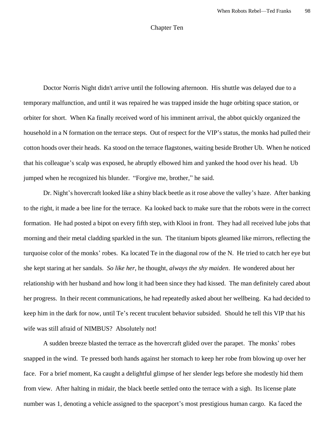## Chapter Ten

Doctor Norris Night didn't arrive until the following afternoon. His shuttle was delayed due to a temporary malfunction, and until it was repaired he was trapped inside the huge orbiting space station, or orbiter for short. When Ka finally received word of his imminent arrival, the abbot quickly organized the household in a N formation on the terrace steps. Out of respect for the VIP's status, the monks had pulled their cotton hoods over their heads. Ka stood on the terrace flagstones, waiting beside Brother Ub. When he noticed that his colleague's scalp was exposed, he abruptly elbowed him and yanked the hood over his head. Ub jumped when he recognized his blunder. "Forgive me, brother," he said.

Dr. Night's hovercraft looked like a shiny black beetle as it rose above the valley's haze. After banking to the right, it made a bee line for the terrace. Ka looked back to make sure that the robots were in the correct formation. He had posted a bipot on every fifth step, with Klooi in front. They had all received lube jobs that morning and their metal cladding sparkled in the sun. The titanium bipots gleamed like mirrors, reflecting the turquoise color of the monks' robes. Ka located Te in the diagonal row of the N. He tried to catch her eye but she kept staring at her sandals. *So like her*, he thought, *always the shy maiden*. He wondered about her relationship with her husband and how long it had been since they had kissed. The man definitely cared about her progress. In their recent communications, he had repeatedly asked about her wellbeing. Ka had decided to keep him in the dark for now, until Te's recent truculent behavior subsided. Should he tell this VIP that his wife was still afraid of NIMBUS? Absolutely not!

A sudden breeze blasted the terrace as the hovercraft glided over the parapet. The monks' robes snapped in the wind. Te pressed both hands against her stomach to keep her robe from blowing up over her face. For a brief moment, Ka caught a delightful glimpse of her slender legs before she modestly hid them from view. After halting in midair, the black beetle settled onto the terrace with a sigh. Its license plate number was 1, denoting a vehicle assigned to the spaceport's most prestigious human cargo. Ka faced the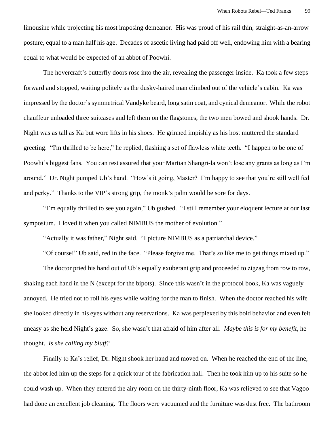limousine while projecting his most imposing demeanor. His was proud of his rail thin, straight-as-an-arrow posture, equal to a man half his age. Decades of ascetic living had paid off well, endowing him with a bearing equal to what would be expected of an abbot of Poowhi.

The hovercraft's butterfly doors rose into the air, revealing the passenger inside. Ka took a few steps forward and stopped, waiting politely as the dusky-haired man climbed out of the vehicle's cabin. Ka was impressed by the doctor's symmetrical Vandyke beard, long satin coat, and cynical demeanor. While the robot chauffeur unloaded three suitcases and left them on the flagstones, the two men bowed and shook hands. Dr. Night was as tall as Ka but wore lifts in his shoes. He grinned impishly as his host muttered the standard greeting. "I'm thrilled to be here," he replied, flashing a set of flawless white teeth. "I happen to be one of Poowhi's biggest fans. You can rest assured that your Martian Shangri-la won't lose any grants as long as I'm around." Dr. Night pumped Ub's hand. "How's it going, Master? I'm happy to see that you're still well fed and perky." Thanks to the VIP's strong grip, the monk's palm would be sore for days.

"I'm equally thrilled to see you again," Ub gushed. "I still remember your eloquent lecture at our last symposium. I loved it when you called NIMBUS the mother of evolution."

"Actually it was father," Night said. "I picture NIMBUS as a patriarchal device."

"Of course!" Ub said, red in the face. "Please forgive me. That's *so* like me to get things mixed up."

The doctor pried his hand out of Ub's equally exuberant grip and proceeded to zigzag from row to row, shaking each hand in the N (except for the bipots). Since this wasn't in the protocol book, Ka was vaguely annoyed. He tried not to roll his eyes while waiting for the man to finish. When the doctor reached his wife she looked directly in his eyes without any reservations. Ka was perplexed by this bold behavior and even felt uneasy as she held Night's gaze. So, she wasn't that afraid of him after all. *Maybe this is for my benefit*, he thought. *Is she calling my bluff?*

Finally to Ka's relief, Dr. Night shook her hand and moved on. When he reached the end of the line, the abbot led him up the steps for a quick tour of the fabrication hall. Then he took him up to his suite so he could wash up. When they entered the airy room on the thirty-ninth floor, Ka was relieved to see that Vagoo had done an excellent job cleaning. The floors were vacuumed and the furniture was dust free. The bathroom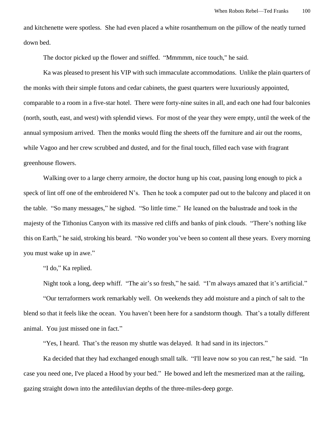and kitchenette were spotless. She had even placed a white rosanthemum on the pillow of the neatly turned down bed.

The doctor picked up the flower and sniffed. "Mmmmm, nice touch," he said.

Ka was pleased to present his VIP with such immaculate accommodations. Unlike the plain quarters of the monks with their simple futons and cedar cabinets, the guest quarters were luxuriously appointed, comparable to a room in a five-star hotel. There were forty-nine suites in all, and each one had four balconies (north, south, east, and west) with splendid views. For most of the year they were empty, until the week of the annual symposium arrived. Then the monks would fling the sheets off the furniture and air out the rooms, while Vagoo and her crew scrubbed and dusted, and for the final touch, filled each vase with fragrant greenhouse flowers.

Walking over to a large cherry armoire, the doctor hung up his coat, pausing long enough to pick a speck of lint off one of the embroidered N's. Then he took a computer pad out to the balcony and placed it on the table. "So many messages," he sighed. "So little time." He leaned on the balustrade and took in the majesty of the Tithonius Canyon with its massive red cliffs and banks of pink clouds. "There's nothing like this on Earth," he said, stroking his beard. "No wonder you've been so content all these years. Every morning you must wake up in awe."

"I do," Ka replied.

Night took a long, deep whiff. "The air's so fresh," he said. "I'm always amazed that it's artificial."

"Our terraformers work remarkably well. On weekends they add moisture and a pinch of salt to the blend so that it feels like the ocean. You haven't been here for a sandstorm though. That's a totally different animal. You just missed one in fact."

"Yes, I heard. That's the reason my shuttle was delayed. It had sand in its injectors."

Ka decided that they had exchanged enough small talk. "I'll leave now so you can rest," he said. "In case you need one, I've placed a Hood by your bed." He bowed and left the mesmerized man at the railing, gazing straight down into the antediluvian depths of the three-miles-deep gorge.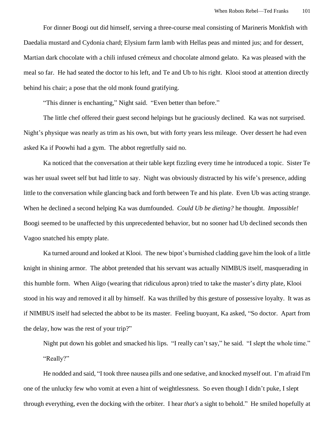For dinner Boogi out did himself, serving a three-course meal consisting of Marineris Monkfish with Daedalia mustard and Cydonia chard; Elysium farm lamb with Hellas peas and minted jus; and for dessert, Martian dark chocolate with a chili infused crémeux and chocolate almond gelato. Ka was pleased with the meal so far. He had seated the doctor to his left, and Te and Ub to his right. Klooi stood at attention directly behind his chair; a pose that the old monk found gratifying.

"This dinner is enchanting," Night said. "Even better than before."

The little chef offered their guest second helpings but he graciously declined. Ka was not surprised. Night's physique was nearly as trim as his own, but with forty years less mileage. Over dessert he had even asked Ka if Poowhi had a gym. The abbot regretfully said no.

Ka noticed that the conversation at their table kept fizzling every time he introduced a topic. Sister Te was her usual sweet self but had little to say. Night was obviously distracted by his wife's presence, adding little to the conversation while glancing back and forth between Te and his plate. Even Ub was acting strange. When he declined a second helping Ka was dumfounded. *Could Ub be dieting?* he thought. *Impossible!* Boogi seemed to be unaffected by this unprecedented behavior, but no sooner had Ub declined seconds then Vagoo snatched his empty plate.

Ka turned around and looked at Klooi. The new bipot's burnished cladding gave him the look of a little knight in shining armor. The abbot pretended that his servant was actually NIMBUS itself, masquerading in this humble form. When Aiigo (wearing that ridiculous apron) tried to take the master's dirty plate, Klooi stood in his way and removed it all by himself. Ka was thrilled by this gesture of possessive loyalty. It was as if NIMBUS itself had selected the abbot to be its master. Feeling buoyant, Ka asked, "So doctor. Apart from the delay, how was the rest of your trip?"

Night put down his goblet and smacked his lips. "I really can't say," he said. "I slept the whole time." "Really?"

He nodded and said, "I took three nausea pills and one sedative, and knocked myself out. I'm afraid I'm one of the unlucky few who vomit at even a hint of weightlessness. So even though I didn't puke, I slept through everything, even the docking with the orbiter. I hear *that's* a sight to behold." He smiled hopefully at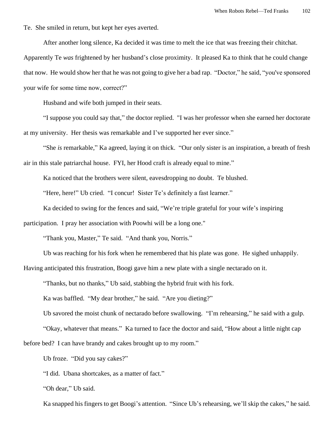Te. She smiled in return, but kept her eyes averted.

After another long silence, Ka decided it was time to melt the ice that was freezing their chitchat.

Apparently Te *was* frightened by her husband's close proximity. It pleased Ka to think that he could change that now. He would show her that he was not going to give her a bad rap. "Doctor," he said, "you've sponsored your wife for some time now, correct?"

Husband and wife both jumped in their seats.

"I suppose you could say that," the doctor replied. "I was her professor when she earned her doctorate at my university. Her thesis was remarkable and I've supported her ever since."

"She *is* remarkable," Ka agreed, laying it on thick. "Our only sister is an inspiration, a breath of fresh air in this stale patriarchal house. FYI, her Hood craft is already equal to mine."

Ka noticed that the brothers were silent, eavesdropping no doubt. Te blushed.

"Here, here!" Ub cried. "I concur! Sister Te's definitely a fast learner."

Ka decided to swing for the fences and said, "We're triple grateful for your wife's inspiring

participation. I pray her association with Poowhi will be a long one."

"Thank you, Master," Te said. "And thank you, Norris."

Ub was reaching for his fork when he remembered that his plate was gone. He sighed unhappily.

Having anticipated this frustration, Boogi gave him a new plate with a single nectarado on it.

"Thanks, but no thanks," Ub said, stabbing the hybrid fruit with his fork.

Ka was baffled. "My dear brother," he said. "Are you dieting?"

Ub savored the moist chunk of nectarado before swallowing. "I'm rehearsing," he said with a gulp.

"Okay, whatever that means." Ka turned to face the doctor and said, "How about a little night cap

before bed? I can have brandy and cakes brought up to my room."

Ub froze. "Did you say cakes?"

"I did. Ubana shortcakes, as a matter of fact."

"Oh dear," Ub said.

Ka snapped his fingers to get Boogi's attention. "Since Ub's rehearsing, we'll skip the cakes," he said.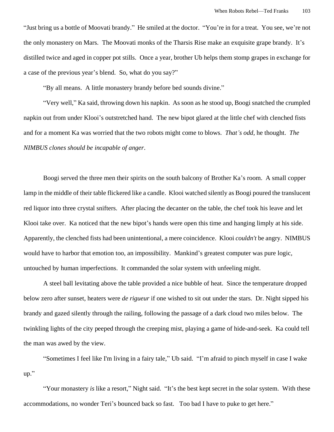"Just bring us a bottle of Moovati brandy." He smiled at the doctor. "You're in for a treat. You see, we're not the only monastery on Mars. The Moovati monks of the Tharsis Rise make an exquisite grape brandy. It's distilled twice and aged in copper pot stills. Once a year, brother Ub helps them stomp grapes in exchange for a case of the previous year's blend. So, what do you say?"

"By all means. A little monastery brandy before bed sounds divine."

"Very well," Ka said, throwing down his napkin. As soon as he stood up, Boogi snatched the crumpled napkin out from under Klooi's outstretched hand. The new bipot glared at the little chef with clenched fists and for a moment Ka was worried that the two robots might come to blows. *That's odd*, he thought. *The NIMBUS clones should be incapable of anger*.

Boogi served the three men their spirits on the south balcony of Brother Ka's room. A small copper lamp in the middle of their table flickered like a candle. Klooi watched silently as Boogi poured the translucent red liquor into three crystal snifters. After placing the decanter on the table, the chef took his leave and let Klooi take over. Ka noticed that the new bipot's hands were open this time and hanging limply at his side. Apparently, the clenched fists had been unintentional, a mere coincidence. Klooi *couldn't* be angry. NIMBUS would have to harbor that emotion too, an impossibility. Mankind's greatest computer was pure logic, untouched by human imperfections. It commanded the solar system with unfeeling might.

A steel ball levitating above the table provided a nice bubble of heat. Since the temperature dropped below zero after sunset, heaters were *de rigueur* if one wished to sit out under the stars. Dr. Night sipped his brandy and gazed silently through the railing, following the passage of a dark cloud two miles below. The twinkling lights of the city peeped through the creeping mist, playing a game of hide-and-seek. Ka could tell the man was awed by the view.

"Sometimes I feel like I'm living in a fairy tale," Ub said. "I'm afraid to pinch myself in case I wake up."

"Your monastery *is* like a resort," Night said. "It's the best kept secret in the solar system. With these accommodations, no wonder Teri's bounced back so fast. Too bad I have to puke to get here."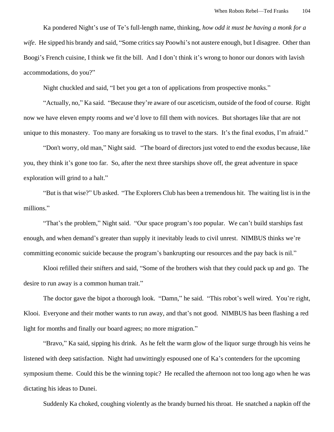Ka pondered Night's use of Te's full-length name, thinking, *how odd it must be having a monk for a wife*. He sipped his brandy and said, "Some critics say Poowhi's not austere enough, but I disagree. Other than Boogi's French cuisine, I think we fit the bill. And I don't think it's wrong to honor our donors with lavish accommodations, do you?"

Night chuckled and said, "I bet you get a ton of applications from prospective monks."

"Actually, no," Ka said. "Because they're aware of our asceticism, outside of the food of course. Right now we have eleven empty rooms and we'd love to fill them with novices. But shortages like that are not unique to this monastery. Too many are forsaking us to travel to the stars. It's the final exodus, I'm afraid."

"Don't worry, old man," Night said. "The board of directors just voted to end the exodus because, like you, they think it's gone too far. So, after the next three starships shove off, the great adventure in space exploration will grind to a halt."

"But is that wise?" Ub asked. "The Explorers Club has been a tremendous hit. The waiting list is in the millions."

"That's the problem," Night said. "Our space program's *too* popular. We can't build starships fast enough, and when demand's greater than supply it inevitably leads to civil unrest. NIMBUS thinks we're committing economic suicide because the program's bankrupting our resources and the pay back is nil."

Klooi refilled their snifters and said, "Some of the brothers wish that they could pack up and go. The desire to run away is a common human trait."

The doctor gave the bipot a thorough look. "Damn," he said. "This robot's well wired. You're right, Klooi. Everyone and their mother wants to run away, and that's not good. NIMBUS has been flashing a red light for months and finally our board agrees; no more migration."

"Bravo," Ka said, sipping his drink. As he felt the warm glow of the liquor surge through his veins he listened with deep satisfaction. Night had unwittingly espoused one of Ka's contenders for the upcoming symposium theme. Could this be the winning topic? He recalled the afternoon not too long ago when he was dictating his ideas to Dunei.

Suddenly Ka choked, coughing violently as the brandy burned his throat. He snatched a napkin off the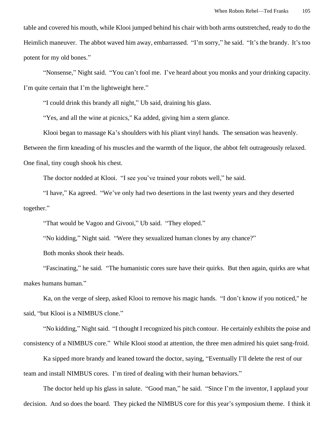table and covered his mouth, while Klooi jumped behind his chair with both arms outstretched, ready to do the Heimlich maneuver. The abbot waved him away, embarrassed. "I'm sorry," he said. "It's the brandy. It's too potent for my old bones."

"Nonsense," Night said. "You can't fool me. I've heard about you monks and your drinking capacity. I'm quite certain that I'm the lightweight here."

"I could drink this brandy all night," Ub said, draining his glass.

"Yes, and all the wine at picnics," Ka added, giving him a stern glance.

Klooi began to massage Ka's shoulders with his pliant vinyl hands. The sensation was heavenly.

Between the firm kneading of his muscles and the warmth of the liquor, the abbot felt outrageously relaxed.

One final, tiny cough shook his chest.

The doctor nodded at Klooi. "I see you've trained your robots well," he said.

"I have," Ka agreed. "We've only had two desertions in the last twenty years and they deserted together."

"That would be Vagoo and Givooi," Ub said. "They eloped."

"No kidding," Night said. "Were they sexualized human clones by any chance?"

Both monks shook their heads.

"Fascinating," he said. "The humanistic cores sure have their quirks. But then again, quirks are what makes humans human."

Ka, on the verge of sleep, asked Klooi to remove his magic hands. "I don't know if you noticed," he said, "but Klooi is a NIMBUS clone."

"No kidding," Night said. "I thought I recognized his pitch contour. He certainly exhibits the poise and consistency of a NIMBUS core." While Klooi stood at attention, the three men admired his quiet sang-froid.

Ka sipped more brandy and leaned toward the doctor, saying, "Eventually I'll delete the rest of our team and install NIMBUS cores. I'm tired of dealing with their human behaviors."

The doctor held up his glass in salute. "Good man," he said. "Since I'm the inventor, I applaud your decision. And so does the board. They picked the NIMBUS core for this year's symposium theme. I think it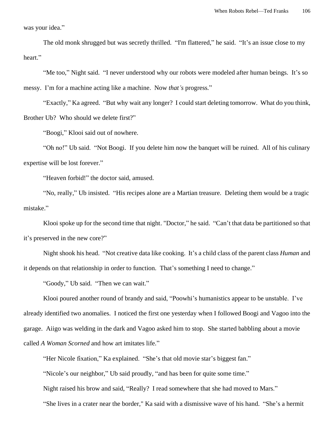was your idea."

The old monk shrugged but was secretly thrilled. "I'm flattered," he said. "It's an issue close to my heart."

"Me too," Night said. "I never understood why our robots were modeled after human beings. It's so messy. I'm for a machine acting like a machine. Now *that's* progress."

"Exactly," Ka agreed. "But why wait any longer? I could start deleting tomorrow. What do you think, Brother Ub? Who should we delete first?"

"Boogi," Klooi said out of nowhere.

"Oh no!" Ub said. "Not Boogi. If you delete him now the banquet will be ruined. All of his culinary expertise will be lost forever."

"Heaven forbid!" the doctor said, amused.

"No, really," Ub insisted. "His recipes alone are a Martian treasure. Deleting them would be a tragic mistake."

Klooi spoke up for the second time that night. "Doctor," he said. "Can't that data be partitioned so that it's preserved in the new core?"

Night shook his head. "Not creative data like cooking. It's a child class of the parent class *Human* and it depends on that relationship in order to function. That's something I need to change."

"Goody," Ub said. "Then we can wait."

Klooi poured another round of brandy and said, "Poowhi's humanistics appear to be unstable. I've already identified two anomalies. I noticed the first one yesterday when I followed Boogi and Vagoo into the garage. Aiigo was welding in the dark and Vagoo asked him to stop. She started babbling about a movie called *A Woman Scorned* and how art imitates life."

"Her Nicole fixation," Ka explained. "She's that old movie star's biggest fan."

"Nicole's our neighbor," Ub said proudly, "and has been for quite some time."

Night raised his brow and said, "Really? I read somewhere that she had moved to Mars."

"She lives in a crater near the border," Ka said with a dismissive wave of his hand. "She's a hermit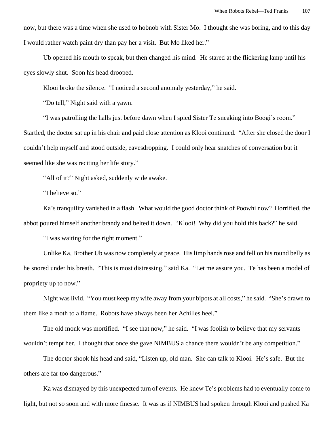now, but there was a time when she used to hobnob with Sister Mo. I thought she was boring, and to this day I would rather watch paint dry than pay her a visit. But Mo liked her."

Ub opened his mouth to speak, but then changed his mind. He stared at the flickering lamp until his eyes slowly shut. Soon his head drooped.

Klooi broke the silence. "I noticed a second anomaly yesterday," he said.

"Do tell," Night said with a yawn.

"I was patrolling the halls just before dawn when I spied Sister Te sneaking into Boogi's room."

Startled, the doctor sat up in his chair and paid close attention as Klooi continued. "After she closed the door I couldn't help myself and stood outside, eavesdropping. I could only hear snatches of conversation but it seemed like she was reciting her life story."

"All of it?" Night asked, suddenly wide awake.

"I believe so."

Ka's tranquility vanished in a flash. What would the good doctor think of Poowhi now? Horrified, the abbot poured himself another brandy and belted it down. "Klooi! Why did you hold this back?" he said.

"I was waiting for the right moment."

Unlike Ka, Brother Ub was now completely at peace. His limp hands rose and fell on his round belly as he snored under his breath. "This is most distressing," said Ka. "Let me assure you. Te has been a model of propriety up to now."

Night was livid. "You must keep my wife away from your bipots at all costs," he said. "She's drawn to them like a moth to a flame. Robots have always been her Achilles heel."

The old monk was mortified. "I see that now," he said. "I was foolish to believe that my servants wouldn't tempt her. I thought that once she gave NIMBUS a chance there wouldn't be any competition."

The doctor shook his head and said, "Listen up, old man. She can talk to Klooi. He's safe. But the others are far too dangerous."

Ka was dismayed by this unexpected turn of events. He knew Te's problems had to eventually come to light, but not so soon and with more finesse. It was as if NIMBUS had spoken through Klooi and pushed Ka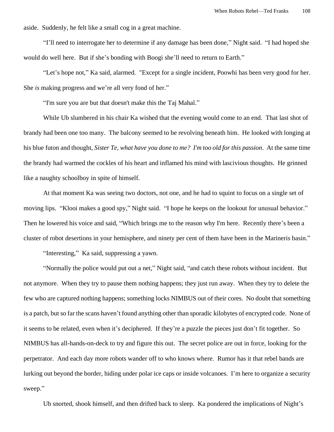aside. Suddenly, he felt like a small cog in a great machine.

"I'll need to interrogate her to determine if any damage has been done," Night said. "I had hoped she would do well here. But if she's bonding with Boogi she'll need to return to Earth."

"Let's hope not," Ka said, alarmed. "Except for a single incident, Poowhi has been very good for her. She *is* making progress and we're all very fond of her."

"I'm sure you are but that doesn't make this the Taj Mahal."

While Ub slumbered in his chair Ka wished that the evening would come to an end. That last shot of brandy had been one too many. The balcony seemed to be revolving beneath him. He looked with longing at his blue futon and thought, *Sister Te, what have you done to me? I'm too old for this passion*. At the same time the brandy had warmed the cockles of his heart and inflamed his mind with lascivious thoughts. He grinned like a naughty schoolboy in spite of himself.

At that moment Ka was seeing two doctors, not one, and he had to squint to focus on a single set of moving lips. "Klooi makes a good spy," Night said. "I hope he keeps on the lookout for unusual behavior." Then he lowered his voice and said, "Which brings me to the reason why I'm here. Recently there's been a cluster of robot desertions in your hemisphere, and ninety per cent of them have been in the Marineris basin."

"Interesting," Ka said, suppressing a yawn.

"Normally the police would put out a net," Night said, "and catch these robots without incident. But not anymore. When they try to pause them nothing happens; they just run away. When they try to delete the few who are captured nothing happens; something locks NIMBUS out of their cores. No doubt that something is a patch, but so far the scans haven't found anything other than sporadic kilobytes of encrypted code. None of it seems to be related, even when it's deciphered. If they're a puzzle the pieces just don't fit together. So NIMBUS has all-hands-on-deck to try and figure this out. The secret police are out in force, looking for the perpetrator. And each day more robots wander off to who knows where. Rumor has it that rebel bands are lurking out beyond the border, hiding under polar ice caps or inside volcanoes. I'm here to organize a security sweep."

Ub snorted, shook himself, and then drifted back to sleep. Ka pondered the implications of Night's